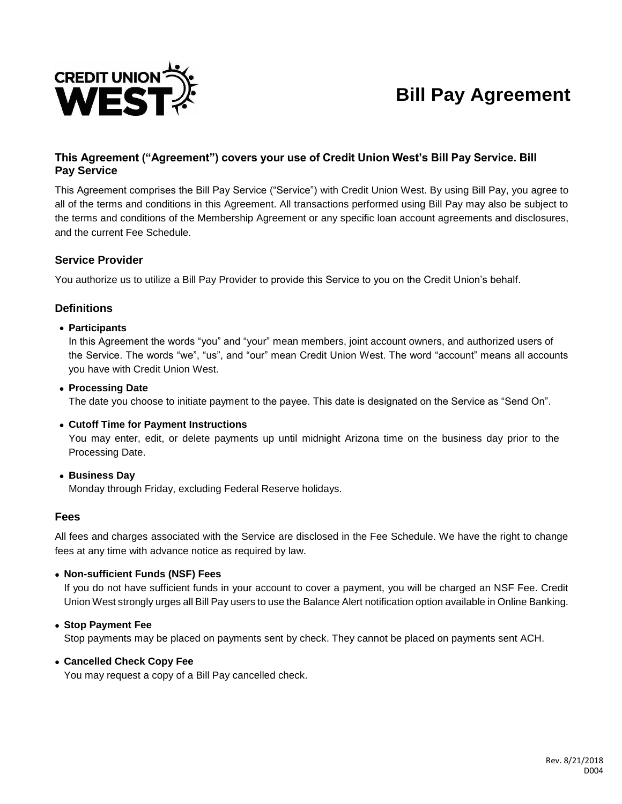

# **Bill Pay Agreement**

## **This Agreement ("Agreement") covers your use of Credit Union West's Bill Pay Service. Bill Pay Service**

This Agreement comprises the Bill Pay Service ("Service") with Credit Union West. By using Bill Pay, you agree to all of the terms and conditions in this Agreement. All transactions performed using Bill Pay may also be subject to the terms and conditions of the Membership Agreement or any specific loan account agreements and disclosures, and the current Fee Schedule.

#### **Service Provider**

You authorize us to utilize a Bill Pay Provider to provide this Service to you on the Credit Union's behalf.

#### **Definitions**

#### **Participants**

In this Agreement the words "you" and "your" mean members, joint account owners, and authorized users of the Service. The words "we", "us", and "our" mean Credit Union West. The word "account" means all accounts you have with Credit Union West.

## **Processing Date**

The date you choose to initiate payment to the payee. This date is designated on the Service as "Send On".

#### **Cutoff Time for Payment Instructions**

You may enter, edit, or delete payments up until midnight Arizona time on the business day prior to the Processing Date.

 **Business Day** Monday through Friday, excluding Federal Reserve holidays.

#### **Fees**

All fees and charges associated with the Service are disclosed in the Fee Schedule. We have the right to change fees at any time with advance notice as required by law.

#### **Non-sufficient Funds (NSF) Fees**

If you do not have sufficient funds in your account to cover a payment, you will be charged an NSF Fee. Credit Union West strongly urges all Bill Pay users to use the Balance Alert notification option available in Online Banking.

#### **Stop Payment Fee**

Stop payments may be placed on payments sent by check. They cannot be placed on payments sent ACH.

#### **Cancelled Check Copy Fee**

You may request a copy of a Bill Pay cancelled check.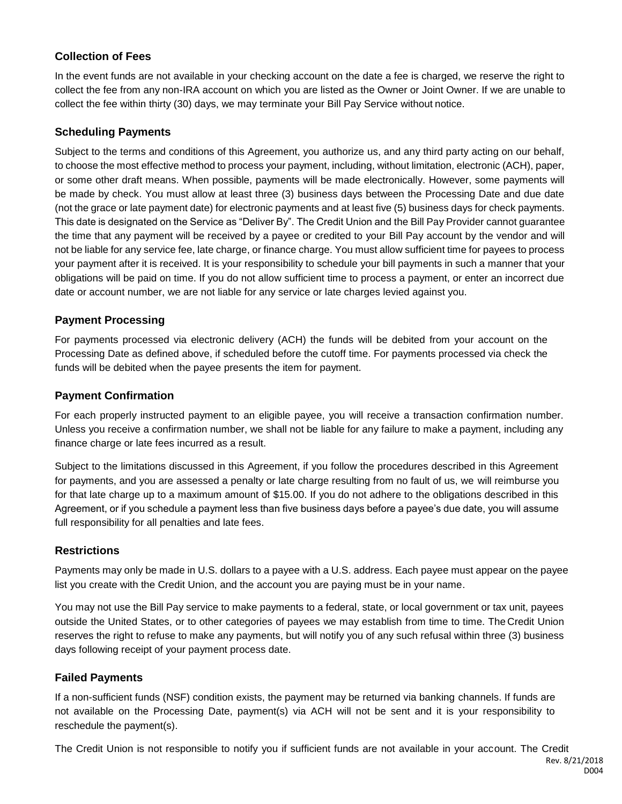## **Collection of Fees**

In the event funds are not available in your checking account on the date a fee is charged, we reserve the right to collect the fee from any non-IRA account on which you are listed as the Owner or Joint Owner. If we are unable to collect the fee within thirty (30) days, we may terminate your Bill Pay Service without notice.

## **Scheduling Payments**

Subject to the terms and conditions of this Agreement, you authorize us, and any third party acting on our behalf, to choose the most effective method to process your payment, including, without limitation, electronic (ACH), paper, or some other draft means. When possible, payments will be made electronically. However, some payments will be made by check. You must allow at least three (3) business days between the Processing Date and due date (not the grace or late payment date) for electronic payments and at least five (5) business days for check payments. This date is designated on the Service as "Deliver By". The Credit Union and the Bill Pay Provider cannot guarantee the time that any payment will be received by a payee or credited to your Bill Pay account by the vendor and will not be liable for any service fee, late charge, or finance charge. You must allow sufficient time for payees to process your payment after it is received. It is your responsibility to schedule your bill payments in such a manner that your obligations will be paid on time. If you do not allow sufficient time to process a payment, or enter an incorrect due date or account number, we are not liable for any service or late charges levied against you.

#### **Payment Processing**

For payments processed via electronic delivery (ACH) the funds will be debited from your account on the Processing Date as defined above, if scheduled before the cutoff time. For payments processed via check the funds will be debited when the payee presents the item for payment.

#### **Payment Confirmation**

For each properly instructed payment to an eligible payee, you will receive a transaction confirmation number. Unless you receive a confirmation number, we shall not be liable for any failure to make a payment, including any finance charge or late fees incurred as a result.

Subject to the limitations discussed in this Agreement, if you follow the procedures described in this Agreement for payments, and you are assessed a penalty or late charge resulting from no fault of us, we will reimburse you for that late charge up to a maximum amount of \$15.00. If you do not adhere to the obligations described in this Agreement, or if you schedule a payment less than five business days before a payee's due date, you will assume full responsibility for all penalties and late fees.

## **Restrictions**

Payments may only be made in U.S. dollars to a payee with a U.S. address. Each payee must appear on the payee list you create with the Credit Union, and the account you are paying must be in your name.

You may not use the Bill Pay service to make payments to a federal, state, or local government or tax unit, payees outside the United States, or to other categories of payees we may establish from time to time. The Credit Union reserves the right to refuse to make any payments, but will notify you of any such refusal within three (3) business days following receipt of your payment process date.

#### **Failed Payments**

If a non-sufficient funds (NSF) condition exists, the payment may be returned via banking channels. If funds are not available on the Processing Date, payment(s) via ACH will not be sent and it is your responsibility to reschedule the payment(s).

The Credit Union is not responsible to notify you if sufficient funds are not available in your account. The Credit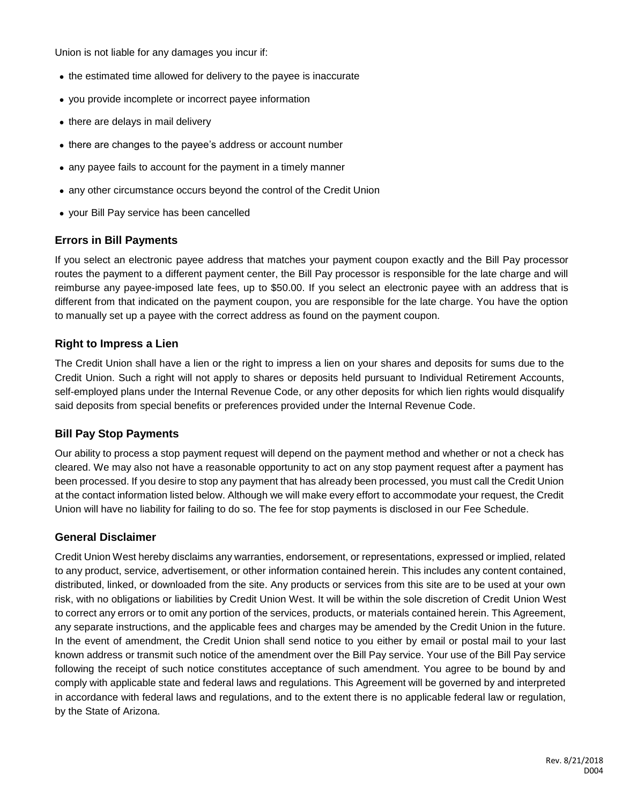Union is not liable for any damages you incur if:

- the estimated time allowed for delivery to the payee is inaccurate
- you provide incomplete or incorrect payee information
- there are delays in mail delivery
- there are changes to the payee's address or account number
- any payee fails to account for the payment in a timely manner
- any other circumstance occurs beyond the control of the Credit Union
- your Bill Pay service has been cancelled

#### **Errors in Bill Payments**

If you select an electronic payee address that matches your payment coupon exactly and the Bill Pay processor routes the payment to a different payment center, the Bill Pay processor is responsible for the late charge and will reimburse any payee-imposed late fees, up to \$50.00. If you select an electronic payee with an address that is different from that indicated on the payment coupon, you are responsible for the late charge. You have the option to manually set up a payee with the correct address as found on the payment coupon.

#### **Right to Impress a Lien**

The Credit Union shall have a lien or the right to impress a lien on your shares and deposits for sums due to the Credit Union. Such a right will not apply to shares or deposits held pursuant to Individual Retirement Accounts, self-employed plans under the Internal Revenue Code, or any other deposits for which lien rights would disqualify said deposits from special benefits or preferences provided under the Internal Revenue Code.

#### **Bill Pay Stop Payments**

Our ability to process a stop payment request will depend on the payment method and whether or not a check has cleared. We may also not have a reasonable opportunity to act on any stop payment request after a payment has been processed. If you desire to stop any payment that has already been processed, you must call the Credit Union at the contact information listed below. Although we will make every effort to accommodate your request, the Credit Union will have no liability for failing to do so. The fee for stop payments is disclosed in our Fee Schedule.

#### **General Disclaimer**

Credit Union West hereby disclaims any warranties, endorsement, or representations, expressed or implied, related to any product, service, advertisement, or other information contained herein. This includes any content contained, distributed, linked, or downloaded from the site. Any products or services from this site are to be used at your own risk, with no obligations or liabilities by Credit Union West. It will be within the sole discretion of Credit Union West to correct any errors or to omit any portion of the services, products, or materials contained herein. This Agreement, any separate instructions, and the applicable fees and charges may be amended by the Credit Union in the future. In the event of amendment, the Credit Union shall send notice to you either by email or postal mail to your last known address or transmit such notice of the amendment over the Bill Pay service. Your use of the Bill Pay service following the receipt of such notice constitutes acceptance of such amendment. You agree to be bound by and comply with applicable state and federal laws and regulations. This Agreement will be governed by and interpreted in accordance with federal laws and regulations, and to the extent there is no applicable federal law or regulation, by the State of Arizona.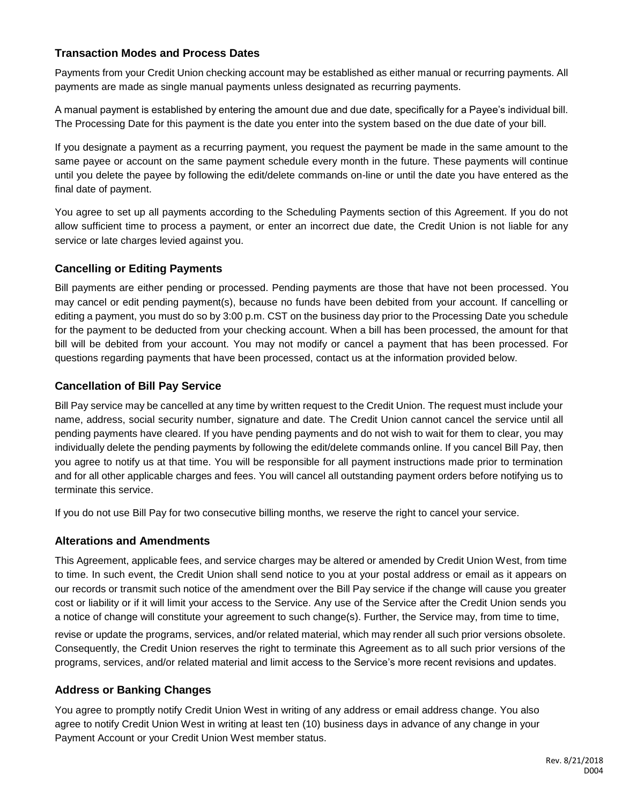## **Transaction Modes and Process Dates**

Payments from your Credit Union checking account may be established as either manual or recurring payments. All payments are made as single manual payments unless designated as recurring payments.

A manual payment is established by entering the amount due and due date, specifically for a Payee's individual bill. The Processing Date for this payment is the date you enter into the system based on the due date of your bill.

If you designate a payment as a recurring payment, you request the payment be made in the same amount to the same payee or account on the same payment schedule every month in the future. These payments will continue until you delete the payee by following the edit/delete commands on-line or until the date you have entered as the final date of payment.

You agree to set up all payments according to the Scheduling Payments section of this Agreement. If you do not allow sufficient time to process a payment, or enter an incorrect due date, the Credit Union is not liable for any service or late charges levied against you.

## **Cancelling or Editing Payments**

Bill payments are either pending or processed. Pending payments are those that have not been processed. You may cancel or edit pending payment(s), because no funds have been debited from your account. If cancelling or editing a payment, you must do so by 3:00 p.m. CST on the business day prior to the Processing Date you schedule for the payment to be deducted from your checking account. When a bill has been processed, the amount for that bill will be debited from your account. You may not modify or cancel a payment that has been processed. For questions regarding payments that have been processed, contact us at the information provided below.

## **Cancellation of Bill Pay Service**

Bill Pay service may be cancelled at any time by written request to the Credit Union. The request must include your name, address, social security number, signature and date. The Credit Union cannot cancel the service until all pending payments have cleared. If you have pending payments and do not wish to wait for them to clear, you may individually delete the pending payments by following the edit/delete commands online. If you cancel Bill Pay, then you agree to notify us at that time. You will be responsible for all payment instructions made prior to termination and for all other applicable charges and fees. You will cancel all outstanding payment orders before notifying us to terminate this service.

If you do not use Bill Pay for two consecutive billing months, we reserve the right to cancel your service.

## **Alterations and Amendments**

This Agreement, applicable fees, and service charges may be altered or amended by Credit Union West, from time to time. In such event, the Credit Union shall send notice to you at your postal address or email as it appears on our records or transmit such notice of the amendment over the Bill Pay service if the change will cause you greater cost or liability or if it will limit your access to the Service. Any use of the Service after the Credit Union sends you a notice of change will constitute your agreement to such change(s). Further, the Service may, from time to time,

revise or update the programs, services, and/or related material, which may render all such prior versions obsolete. Consequently, the Credit Union reserves the right to terminate this Agreement as to all such prior versions of the programs, services, and/or related material and limit access to the Service's more recent revisions and updates.

## **Address or Banking Changes**

You agree to promptly notify Credit Union West in writing of any address or email address change. You also agree to notify Credit Union West in writing at least ten (10) business days in advance of any change in your Payment Account or your Credit Union West member status.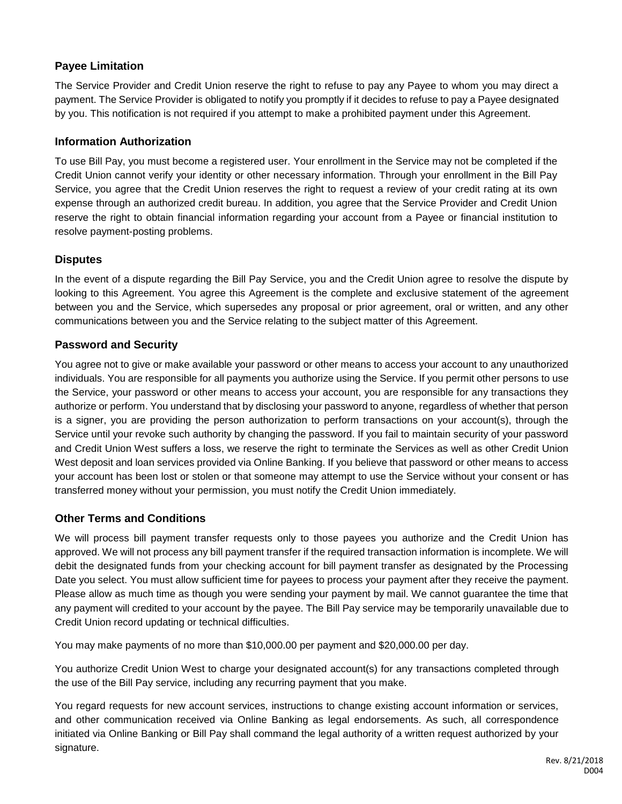## **Payee Limitation**

The Service Provider and Credit Union reserve the right to refuse to pay any Payee to whom you may direct a payment. The Service Provider is obligated to notify you promptly if it decides to refuse to pay a Payee designated by you. This notification is not required if you attempt to make a prohibited payment under this Agreement.

## **Information Authorization**

To use Bill Pay, you must become a registered user. Your enrollment in the Service may not be completed if the Credit Union cannot verify your identity or other necessary information. Through your enrollment in the Bill Pay Service, you agree that the Credit Union reserves the right to request a review of your credit rating at its own expense through an authorized credit bureau. In addition, you agree that the Service Provider and Credit Union reserve the right to obtain financial information regarding your account from a Payee or financial institution to resolve payment-posting problems.

## **Disputes**

In the event of a dispute regarding the Bill Pay Service, you and the Credit Union agree to resolve the dispute by looking to this Agreement. You agree this Agreement is the complete and exclusive statement of the agreement between you and the Service, which supersedes any proposal or prior agreement, oral or written, and any other communications between you and the Service relating to the subject matter of this Agreement.

#### **Password and Security**

You agree not to give or make available your password or other means to access your account to any unauthorized individuals. You are responsible for all payments you authorize using the Service. If you permit other persons to use the Service, your password or other means to access your account, you are responsible for any transactions they authorize or perform. You understand that by disclosing your password to anyone, regardless of whether that person is a signer, you are providing the person authorization to perform transactions on your account(s), through the Service until your revoke such authority by changing the password. If you fail to maintain security of your password and Credit Union West suffers a loss, we reserve the right to terminate the Services as well as other Credit Union West deposit and loan services provided via Online Banking. If you believe that password or other means to access your account has been lost or stolen or that someone may attempt to use the Service without your consent or has transferred money without your permission, you must notify the Credit Union immediately.

## **Other Terms and Conditions**

We will process bill payment transfer requests only to those payees you authorize and the Credit Union has approved. We will not process any bill payment transfer if the required transaction information is incomplete. We will debit the designated funds from your checking account for bill payment transfer as designated by the Processing Date you select. You must allow sufficient time for payees to process your payment after they receive the payment. Please allow as much time as though you were sending your payment by mail. We cannot guarantee the time that any payment will credited to your account by the payee. The Bill Pay service may be temporarily unavailable due to Credit Union record updating or technical difficulties.

You may make payments of no more than \$10,000.00 per payment and \$20,000.00 per day.

You authorize Credit Union West to charge your designated account(s) for any transactions completed through the use of the Bill Pay service, including any recurring payment that you make.

You regard requests for new account services, instructions to change existing account information or services, and other communication received via Online Banking as legal endorsements. As such, all correspondence initiated via Online Banking or Bill Pay shall command the legal authority of a written request authorized by your signature.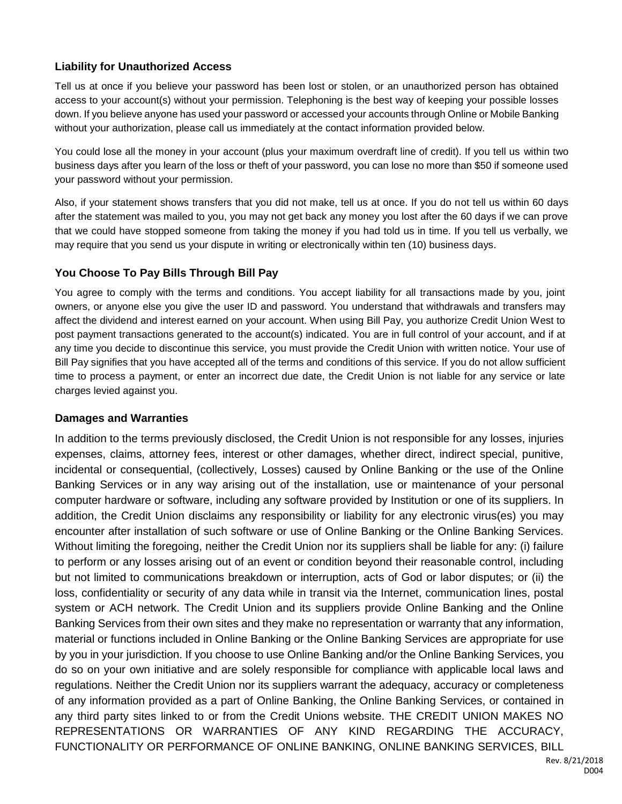## **Liability for Unauthorized Access**

Tell us at once if you believe your password has been lost or stolen, or an unauthorized person has obtained access to your account(s) without your permission. Telephoning is the best way of keeping your possible losses down. If you believe anyone has used your password or accessed your accounts through Online or Mobile Banking without your authorization, please call us immediately at the contact information provided below.

You could lose all the money in your account (plus your maximum overdraft line of credit). If you tell us within two business days after you learn of the loss or theft of your password, you can lose no more than \$50 if someone used your password without your permission.

Also, if your statement shows transfers that you did not make, tell us at once. If you do not tell us within 60 days after the statement was mailed to you, you may not get back any money you lost after the 60 days if we can prove that we could have stopped someone from taking the money if you had told us in time. If you tell us verbally, we may require that you send us your dispute in writing or electronically within ten (10) business days.

## **You Choose To Pay Bills Through Bill Pay**

You agree to comply with the terms and conditions. You accept liability for all transactions made by you, joint owners, or anyone else you give the user ID and password. You understand that withdrawals and transfers may affect the dividend and interest earned on your account. When using Bill Pay, you authorize Credit Union West to post payment transactions generated to the account(s) indicated. You are in full control of your account, and if at any time you decide to discontinue this service, you must provide the Credit Union with written notice. Your use of Bill Pay signifies that you have accepted all of the terms and conditions of this service. If you do not allow sufficient time to process a payment, or enter an incorrect due date, the Credit Union is not liable for any service or late charges levied against you.

## **Damages and Warranties**

In addition to the terms previously disclosed, the Credit Union is not responsible for any losses, injuries expenses, claims, attorney fees, interest or other damages, whether direct, indirect special, punitive, incidental or consequential, (collectively, Losses) caused by Online Banking or the use of the Online Banking Services or in any way arising out of the installation, use or maintenance of your personal computer hardware or software, including any software provided by Institution or one of its suppliers. In addition, the Credit Union disclaims any responsibility or liability for any electronic virus(es) you may encounter after installation of such software or use of Online Banking or the Online Banking Services. Without limiting the foregoing, neither the Credit Union nor its suppliers shall be liable for any: (i) failure to perform or any losses arising out of an event or condition beyond their reasonable control, including but not limited to communications breakdown or interruption, acts of God or labor disputes; or (ii) the loss, confidentiality or security of any data while in transit via the Internet, communication lines, postal system or ACH network. The Credit Union and its suppliers provide Online Banking and the Online Banking Services from their own sites and they make no representation or warranty that any information, material or functions included in Online Banking or the Online Banking Services are appropriate for use by you in your jurisdiction. If you choose to use Online Banking and/or the Online Banking Services, you do so on your own initiative and are solely responsible for compliance with applicable local laws and regulations. Neither the Credit Union nor its suppliers warrant the adequacy, accuracy or completeness of any information provided as a part of Online Banking, the Online Banking Services, or contained in any third party sites linked to or from the Credit Unions website. THE CREDIT UNION MAKES NO REPRESENTATIONS OR WARRANTIES OF ANY KIND REGARDING THE ACCURACY, FUNCTIONALITY OR PERFORMANCE OF ONLINE BANKING, ONLINE BANKING SERVICES, BILL